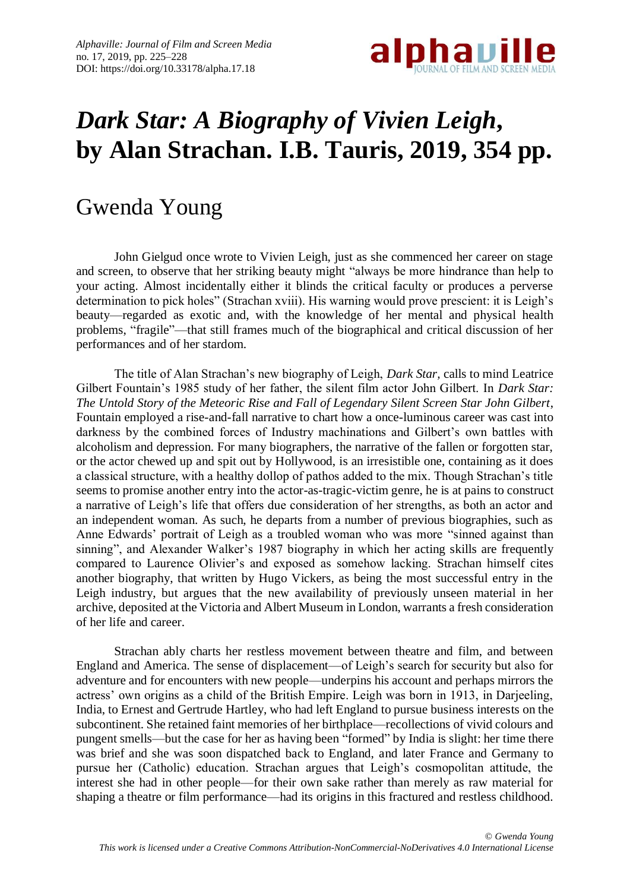

## *Dark Star: A Biography of Vivien Leigh***, by Alan Strachan. I.B. Tauris, 2019, 354 pp.**

## Gwenda Young

John Gielgud once wrote to Vivien Leigh, just as she commenced her career on stage and screen, to observe that her striking beauty might "always be more hindrance than help to your acting. Almost incidentally either it blinds the critical faculty or produces a perverse determination to pick holes" (Strachan xviii). His warning would prove prescient: it is Leigh's beauty—regarded as exotic and, with the knowledge of her mental and physical health problems, "fragile"—that still frames much of the biographical and critical discussion of her performances and of her stardom.

The title of Alan Strachan's new biography of Leigh, *Dark Star,* calls to mind Leatrice Gilbert Fountain's 1985 study of her father, the silent film actor John Gilbert. In *Dark Star: The Untold Story of the Meteoric Rise and Fall of Legendary Silent Screen Star John Gilbert*, Fountain employed a rise-and-fall narrative to chart how a once-luminous career was cast into darkness by the combined forces of Industry machinations and Gilbert's own battles with alcoholism and depression. For many biographers, the narrative of the fallen or forgotten star, or the actor chewed up and spit out by Hollywood, is an irresistible one, containing as it does a classical structure, with a healthy dollop of pathos added to the mix. Though Strachan's title seems to promise another entry into the actor-as-tragic-victim genre, he is at pains to construct a narrative of Leigh's life that offers due consideration of her strengths, as both an actor and an independent woman. As such, he departs from a number of previous biographies, such as Anne Edwards' portrait of Leigh as a troubled woman who was more "sinned against than sinning", and Alexander Walker's 1987 biography in which her acting skills are frequently compared to Laurence Olivier's and exposed as somehow lacking. Strachan himself cites another biography, that written by Hugo Vickers, as being the most successful entry in the Leigh industry, but argues that the new availability of previously unseen material in her archive, deposited at the Victoria and Albert Museum in London, warrants a fresh consideration of her life and career.

Strachan ably charts her restless movement between theatre and film, and between England and America. The sense of displacement—of Leigh's search for security but also for adventure and for encounters with new people—underpins his account and perhaps mirrors the actress' own origins as a child of the British Empire. Leigh was born in 1913, in Darjeeling, India, to Ernest and Gertrude Hartley, who had left England to pursue business interests on the subcontinent. She retained faint memories of her birthplace—recollections of vivid colours and pungent smells—but the case for her as having been "formed" by India is slight: her time there was brief and she was soon dispatched back to England, and later France and Germany to pursue her (Catholic) education. Strachan argues that Leigh's cosmopolitan attitude, the interest she had in other people—for their own sake rather than merely as raw material for shaping a theatre or film performance—had its origins in this fractured and restless childhood.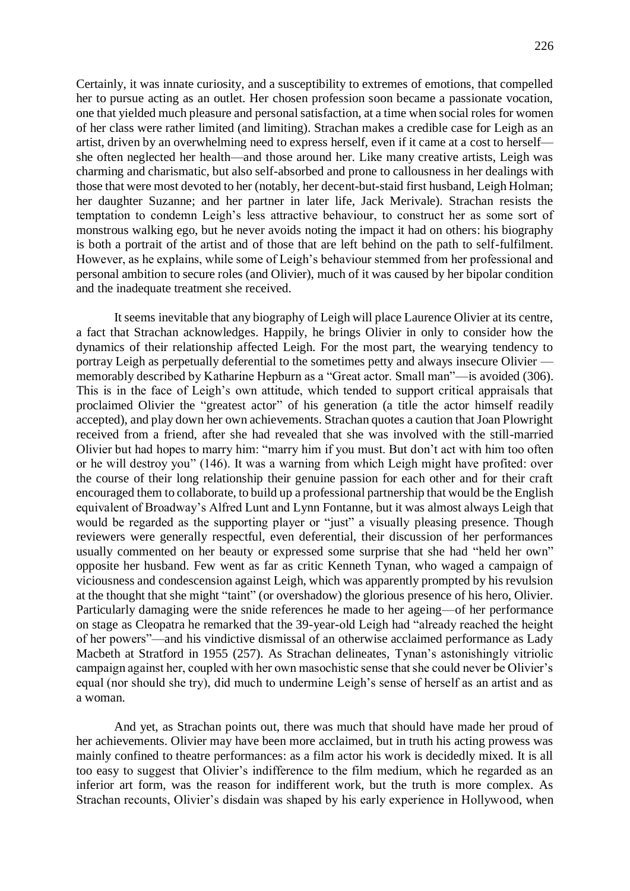Certainly, it was innate curiosity, and a susceptibility to extremes of emotions, that compelled her to pursue acting as an outlet. Her chosen profession soon became a passionate vocation, one that yielded much pleasure and personal satisfaction, at a time when social roles for women of her class were rather limited (and limiting). Strachan makes a credible case for Leigh as an artist, driven by an overwhelming need to express herself, even if it came at a cost to herself she often neglected her health—and those around her. Like many creative artists, Leigh was charming and charismatic, but also self-absorbed and prone to callousness in her dealings with those that were most devoted to her (notably, her decent-but-staid first husband, Leigh Holman; her daughter Suzanne; and her partner in later life, Jack Merivale). Strachan resists the temptation to condemn Leigh's less attractive behaviour, to construct her as some sort of monstrous walking ego, but he never avoids noting the impact it had on others: his biography is both a portrait of the artist and of those that are left behind on the path to self-fulfilment. However, as he explains, while some of Leigh's behaviour stemmed from her professional and personal ambition to secure roles (and Olivier), much of it was caused by her bipolar condition and the inadequate treatment she received.

It seems inevitable that any biography of Leigh will place Laurence Olivier at its centre, a fact that Strachan acknowledges. Happily, he brings Olivier in only to consider how the dynamics of their relationship affected Leigh. For the most part, the wearying tendency to portray Leigh as perpetually deferential to the sometimes petty and always insecure Olivier memorably described by Katharine Hepburn as a "Great actor. Small man"—is avoided (306). This is in the face of Leigh's own attitude, which tended to support critical appraisals that proclaimed Olivier the "greatest actor" of his generation (a title the actor himself readily accepted), and play down her own achievements. Strachan quotes a caution that Joan Plowright received from a friend, after she had revealed that she was involved with the still-married Olivier but had hopes to marry him: "marry him if you must. But don't act with him too often or he will destroy you" (146). It was a warning from which Leigh might have profited: over the course of their long relationship their genuine passion for each other and for their craft encouraged them to collaborate, to build up a professional partnership that would be the English equivalent of Broadway's Alfred Lunt and Lynn Fontanne, but it was almost always Leigh that would be regarded as the supporting player or "just" a visually pleasing presence. Though reviewers were generally respectful, even deferential, their discussion of her performances usually commented on her beauty or expressed some surprise that she had "held her own" opposite her husband. Few went as far as critic Kenneth Tynan, who waged a campaign of viciousness and condescension against Leigh, which was apparently prompted by his revulsion at the thought that she might "taint" (or overshadow) the glorious presence of his hero, Olivier. Particularly damaging were the snide references he made to her ageing—of her performance on stage as Cleopatra he remarked that the 39-year-old Leigh had "already reached the height of her powers"—and his vindictive dismissal of an otherwise acclaimed performance as Lady Macbeth at Stratford in 1955 (257). As Strachan delineates, Tynan's astonishingly vitriolic campaign against her, coupled with her own masochistic sense that she could never be Olivier's equal (nor should she try), did much to undermine Leigh's sense of herself as an artist and as a woman.

And yet, as Strachan points out, there was much that should have made her proud of her achievements. Olivier may have been more acclaimed, but in truth his acting prowess was mainly confined to theatre performances: as a film actor his work is decidedly mixed. It is all too easy to suggest that Olivier's indifference to the film medium, which he regarded as an inferior art form, was the reason for indifferent work, but the truth is more complex. As Strachan recounts, Olivier's disdain was shaped by his early experience in Hollywood, when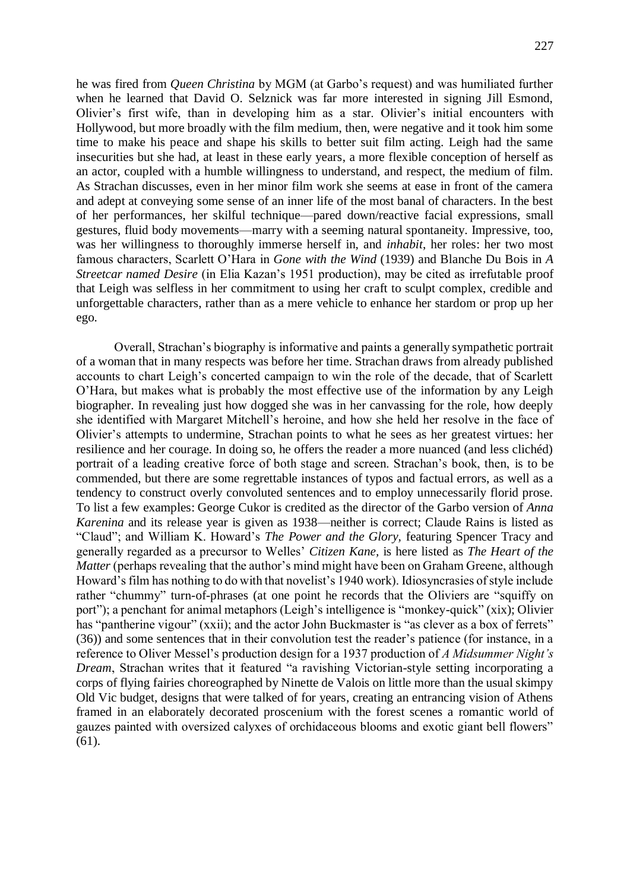he was fired from *Queen Christina* by MGM (at Garbo's request) and was humiliated further when he learned that David O. Selznick was far more interested in signing Jill Esmond, Olivier's first wife, than in developing him as a star. Olivier's initial encounters with Hollywood, but more broadly with the film medium, then, were negative and it took him some time to make his peace and shape his skills to better suit film acting. Leigh had the same insecurities but she had, at least in these early years, a more flexible conception of herself as an actor, coupled with a humble willingness to understand, and respect, the medium of film. As Strachan discusses, even in her minor film work she seems at ease in front of the camera and adept at conveying some sense of an inner life of the most banal of characters. In the best of her performances, her skilful technique—pared down/reactive facial expressions, small gestures, fluid body movements—marry with a seeming natural spontaneity. Impressive, too, was her willingness to thoroughly immerse herself in, and *inhabit*, her roles: her two most famous characters, Scarlett O'Hara in *Gone with the Wind* (1939) and Blanche Du Bois in *A Streetcar named Desire* (in Elia Kazan's 1951 production), may be cited as irrefutable proof that Leigh was selfless in her commitment to using her craft to sculpt complex, credible and unforgettable characters, rather than as a mere vehicle to enhance her stardom or prop up her ego.

Overall, Strachan's biography is informative and paints a generally sympathetic portrait of a woman that in many respects was before her time. Strachan draws from already published accounts to chart Leigh's concerted campaign to win the role of the decade, that of Scarlett O'Hara, but makes what is probably the most effective use of the information by any Leigh biographer. In revealing just how dogged she was in her canvassing for the role, how deeply she identified with Margaret Mitchell's heroine, and how she held her resolve in the face of Olivier's attempts to undermine, Strachan points to what he sees as her greatest virtues: her resilience and her courage. In doing so, he offers the reader a more nuanced (and less clichéd) portrait of a leading creative force of both stage and screen. Strachan's book, then, is to be commended, but there are some regrettable instances of typos and factual errors, as well as a tendency to construct overly convoluted sentences and to employ unnecessarily florid prose. To list a few examples: George Cukor is credited as the director of the Garbo version of *Anna Karenina* and its release year is given as 1938—neither is correct; Claude Rains is listed as "Claud"; and William K. Howard's *The Power and the Glory,* featuring Spencer Tracy and generally regarded as a precursor to Welles' *Citizen Kane,* is here listed as *The Heart of the Matter* (perhaps revealing that the author's mind might have been on Graham Greene, although Howard's film has nothing to do with that novelist's 1940 work). Idiosyncrasies of style include rather "chummy" turn-of-phrases (at one point he records that the Oliviers are "squiffy on port"); a penchant for animal metaphors (Leigh's intelligence is "monkey-quick" (xix); Olivier has "pantherine vigour" (xxii); and the actor John Buckmaster is "as clever as a box of ferrets" (36)) and some sentences that in their convolution test the reader's patience (for instance, in a reference to Oliver Messel's production design for a 1937 production of *A Midsummer Night's Dream*, Strachan writes that it featured "a ravishing Victorian-style setting incorporating a corps of flying fairies choreographed by Ninette de Valois on little more than the usual skimpy Old Vic budget, designs that were talked of for years, creating an entrancing vision of Athens framed in an elaborately decorated proscenium with the forest scenes a romantic world of gauzes painted with oversized calyxes of orchidaceous blooms and exotic giant bell flowers" (61).